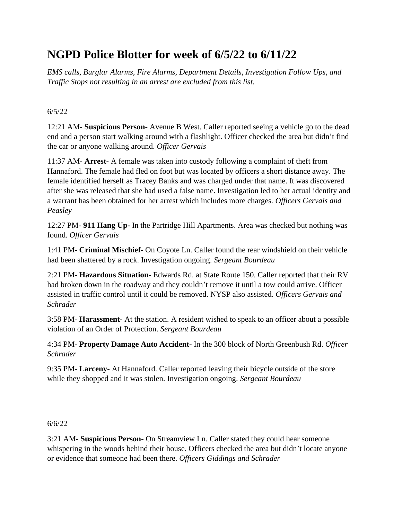# **NGPD Police Blotter for week of 6/5/22 to 6/11/22**

*EMS calls, Burglar Alarms, Fire Alarms, Department Details, Investigation Follow Ups, and Traffic Stops not resulting in an arrest are excluded from this list.*

#### 6/5/22

12:21 AM- **Suspicious Person-** Avenue B West. Caller reported seeing a vehicle go to the dead end and a person start walking around with a flashlight. Officer checked the area but didn't find the car or anyone walking around. *Officer Gervais*

11:37 AM- **Arrest-** A female was taken into custody following a complaint of theft from Hannaford. The female had fled on foot but was located by officers a short distance away. The female identified herself as Tracey Banks and was charged under that name. It was discovered after she was released that she had used a false name. Investigation led to her actual identity and a warrant has been obtained for her arrest which includes more charges*. Officers Gervais and Peasley*

12:27 PM- **911 Hang Up-** In the Partridge Hill Apartments. Area was checked but nothing was found. *Officer Gervais*

1:41 PM- **Criminal Mischief-** On Coyote Ln. Caller found the rear windshield on their vehicle had been shattered by a rock. Investigation ongoing. *Sergeant Bourdeau*

2:21 PM- **Hazardous Situation-** Edwards Rd. at State Route 150. Caller reported that their RV had broken down in the roadway and they couldn't remove it until a tow could arrive. Officer assisted in traffic control until it could be removed. NYSP also assisted. *Officers Gervais and Schrader*

3:58 PM- **Harassment-** At the station. A resident wished to speak to an officer about a possible violation of an Order of Protection. *Sergeant Bourdeau*

4:34 PM- **Property Damage Auto Accident-** In the 300 block of North Greenbush Rd. *Officer Schrader*

9:35 PM- **Larceny-** At Hannaford. Caller reported leaving their bicycle outside of the store while they shopped and it was stolen. Investigation ongoing. *Sergeant Bourdeau*

#### 6/6/22

3:21 AM- **Suspicious Person-** On Streamview Ln. Caller stated they could hear someone whispering in the woods behind their house. Officers checked the area but didn't locate anyone or evidence that someone had been there. *Officers Giddings and Schrader*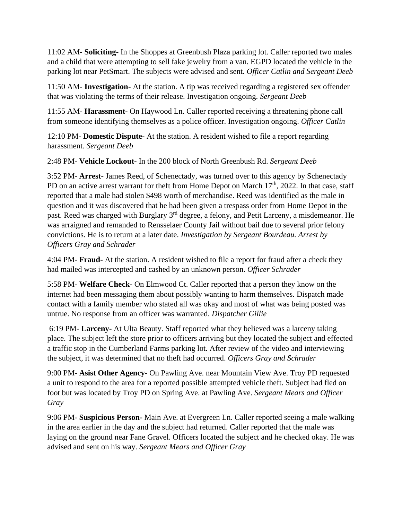11:02 AM- **Soliciting-** In the Shoppes at Greenbush Plaza parking lot. Caller reported two males and a child that were attempting to sell fake jewelry from a van. EGPD located the vehicle in the parking lot near PetSmart. The subjects were advised and sent. *Officer Catlin and Sergeant Deeb*

11:50 AM- **Investigation-** At the station. A tip was received regarding a registered sex offender that was violating the terms of their release. Investigation ongoing. *Sergeant Deeb*

11:55 AM- **Harassment-** On Haywood Ln. Caller reported receiving a threatening phone call from someone identifying themselves as a police officer. Investigation ongoing. *Officer Catlin*

12:10 PM- **Domestic Dispute-** At the station. A resident wished to file a report regarding harassment. *Sergeant Deeb*

2:48 PM- **Vehicle Lockout-** In the 200 block of North Greenbush Rd. *Sergeant Deeb*

3:52 PM- **Arrest-** James Reed, of Schenectady, was turned over to this agency by Schenectady PD on an active arrest warrant for theft from Home Depot on March  $17<sup>th</sup>$ , 2022. In that case, staff reported that a male had stolen \$498 worth of merchandise. Reed was identified as the male in question and it was discovered that he had been given a trespass order from Home Depot in the past. Reed was charged with Burglary 3<sup>rd</sup> degree, a felony, and Petit Larceny, a misdemeanor. He was arraigned and remanded to Rensselaer County Jail without bail due to several prior felony convictions. He is to return at a later date. *Investigation by Sergeant Bourdeau. Arrest by Officers Gray and Schrader*

4:04 PM- **Fraud-** At the station. A resident wished to file a report for fraud after a check they had mailed was intercepted and cashed by an unknown person. *Officer Schrader*

5:58 PM- **Welfare Check-** On Elmwood Ct. Caller reported that a person they know on the internet had been messaging them about possibly wanting to harm themselves. Dispatch made contact with a family member who stated all was okay and most of what was being posted was untrue. No response from an officer was warranted. *Dispatcher Gillie*

6:19 PM- **Larceny-** At Ulta Beauty. Staff reported what they believed was a larceny taking place. The subject left the store prior to officers arriving but they located the subject and effected a traffic stop in the Cumberland Farms parking lot. After review of the video and interviewing the subject, it was determined that no theft had occurred. *Officers Gray and Schrader*

9:00 PM- **Asist Other Agency-** On Pawling Ave. near Mountain View Ave. Troy PD requested a unit to respond to the area for a reported possible attempted vehicle theft. Subject had fled on foot but was located by Troy PD on Spring Ave. at Pawling Ave. *Sergeant Mears and Officer Gray*

9:06 PM- **Suspicious Person-** Main Ave. at Evergreen Ln. Caller reported seeing a male walking in the area earlier in the day and the subject had returned. Caller reported that the male was laying on the ground near Fane Gravel. Officers located the subject and he checked okay. He was advised and sent on his way. *Sergeant Mears and Officer Gray*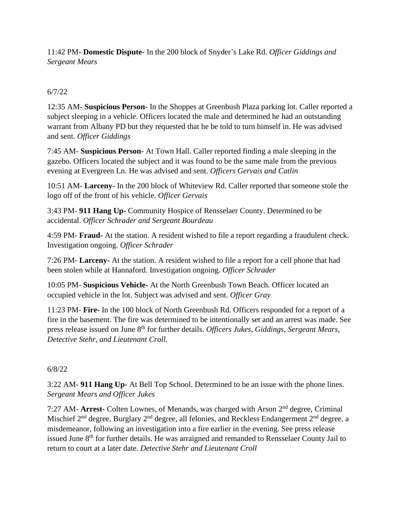11:42 PM- **Domestic Dispute-** In the 200 block of Snyder's Lake Rd. *Officer Giddings and Sergeant Mears*

## 6/7/22

12:35 AM- **Suspicious Person-** In the Shoppes at Greenbush Plaza parking lot. Caller reported a subject sleeping in a vehicle. Officers located the male and determined he had an outstanding warrant from Albany PD but they requested that he be told to turn himself in. He was advised and sent. *Officer Giddings*

7:45 AM- **Suspicious Person-** At Town Hall. Caller reported finding a male sleeping in the gazebo. Officers located the subject and it was found to be the same male from the previous evening at Evergreen Ln. He was advised and sent. *Officers Gervais and Catlin*

10:51 AM- **Larceny-** In the 200 block of Whiteview Rd. Caller reported that someone stole the logo off of the front of his vehicle. *Officer Gervais*

3:43 PM- **911 Hang Up-** Community Hospice of Rensselaer County. Determined to be accidental. *Officer Schrader and Sergeant Bourdeau*

4:59 PM- **Fraud-** At the station. A resident wished to file a report regarding a fraudulent check. Investigation ongoing. *Officer Schrader*

7:26 PM- **Larceny-** At the station. A resident wished to file a report for a cell phone that had been stolen while at Hannaford. Investigation ongoing. *Officer Schrader*

10:05 PM- **Suspicious Vehicle-** At the North Greenbush Town Beach. Officer located an occupied vehicle in the lot. Subject was advised and sent. *Officer Gray*

11:23 PM- **Fire-** In the 100 block of North Greenbush Rd. Officers responded for a report of a fire in the basement. The fire was determined to be intentionally set and an arrest was made. See press release issued on June 8<sup>th</sup> for further details. *Officers Jukes, Giddings, Sergeant Mears, Detective Stehr, and Lieutenant Croll.* 

## 6/8/22

3:22 AM- **911 Hang Up-** At Bell Top School. Determined to be an issue with the phone lines. *Sergeant Mears and Officer Jukes*

7:27 AM- **Arrest-** Colten Lownes, of Menands, was charged with Arson 2nd degree, Criminal Mischief  $2<sup>nd</sup>$  degree, Burglary  $2<sup>nd</sup>$  degree, all felonies, and Reckless Endangerment  $2<sup>nd</sup>$  degree, a misdemeanor, following an investigation into a fire earlier in the evening. See press release issued June 8<sup>th</sup> for further details. He was arraigned and remanded to Rensselaer County Jail to return to court at a later date. *Detective Stehr and Lieutenant Croll*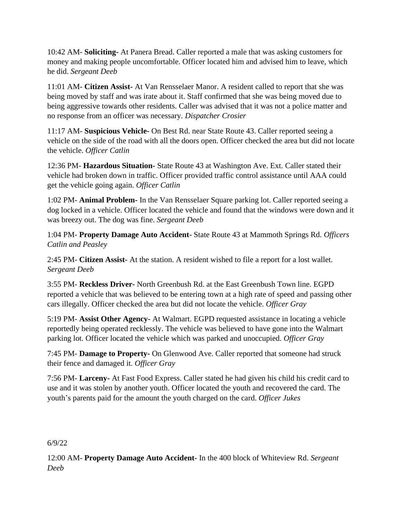10:42 AM- **Soliciting-** At Panera Bread. Caller reported a male that was asking customers for money and making people uncomfortable. Officer located him and advised him to leave, which he did. *Sergeant Deeb*

11:01 AM- **Citizen Assist-** At Van Rensselaer Manor. A resident called to report that she was being moved by staff and was irate about it. Staff confirmed that she was being moved due to being aggressive towards other residents. Caller was advised that it was not a police matter and no response from an officer was necessary. *Dispatcher Crosier*

11:17 AM- **Suspicious Vehicle-** On Best Rd. near State Route 43. Caller reported seeing a vehicle on the side of the road with all the doors open. Officer checked the area but did not locate the vehicle. *Officer Catlin*

12:36 PM- **Hazardous Situation-** State Route 43 at Washington Ave. Ext. Caller stated their vehicle had broken down in traffic. Officer provided traffic control assistance until AAA could get the vehicle going again. *Officer Catlin*

1:02 PM- **Animal Problem-** In the Van Rensselaer Square parking lot. Caller reported seeing a dog locked in a vehicle. Officer located the vehicle and found that the windows were down and it was breezy out. The dog was fine. *Sergeant Deeb*

1:04 PM- **Property Damage Auto Accident-** State Route 43 at Mammoth Springs Rd. *Officers Catlin and Peasley*

2:45 PM- **Citizen Assist-** At the station. A resident wished to file a report for a lost wallet. *Sergeant Deeb*

3:55 PM- **Reckless Driver-** North Greenbush Rd. at the East Greenbush Town line. EGPD reported a vehicle that was believed to be entering town at a high rate of speed and passing other cars illegally. Officer checked the area but did not locate the vehicle. *Officer Gray*

5:19 PM- **Assist Other Agency-** At Walmart. EGPD requested assistance in locating a vehicle reportedly being operated recklessly. The vehicle was believed to have gone into the Walmart parking lot. Officer located the vehicle which was parked and unoccupied. *Officer Gray*

7:45 PM- **Damage to Property-** On Glenwood Ave. Caller reported that someone had struck their fence and damaged it. *Officer Gray*

7:56 PM- **Larceny-** At Fast Food Express. Caller stated he had given his child his credit card to use and it was stolen by another youth. Officer located the youth and recovered the card. The youth's parents paid for the amount the youth charged on the card. *Officer Jukes*

#### 6/9/22

12:00 AM- **Property Damage Auto Accident-** In the 400 block of Whiteview Rd. *Sergeant Deeb*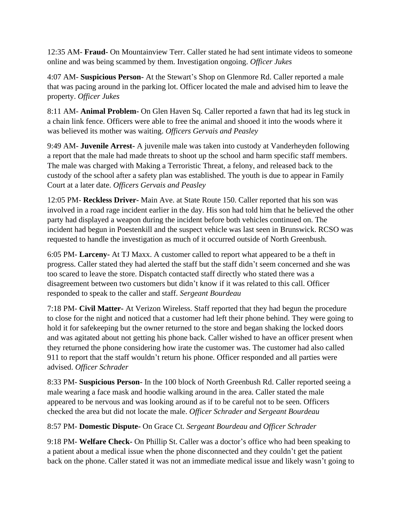12:35 AM- **Fraud-** On Mountainview Terr. Caller stated he had sent intimate videos to someone online and was being scammed by them. Investigation ongoing. *Officer Jukes*

4:07 AM- **Suspicious Person-** At the Stewart's Shop on Glenmore Rd. Caller reported a male that was pacing around in the parking lot. Officer located the male and advised him to leave the property. *Officer Jukes*

8:11 AM- **Animal Problem-** On Glen Haven Sq. Caller reported a fawn that had its leg stuck in a chain link fence. Officers were able to free the animal and shooed it into the woods where it was believed its mother was waiting. *Officers Gervais and Peasley*

9:49 AM- **Juvenile Arrest-** A juvenile male was taken into custody at Vanderheyden following a report that the male had made threats to shoot up the school and harm specific staff members. The male was charged with Making a Terroristic Threat, a felony, and released back to the custody of the school after a safety plan was established. The youth is due to appear in Family Court at a later date. *Officers Gervais and Peasley*

12:05 PM- **Reckless Driver-** Main Ave. at State Route 150. Caller reported that his son was involved in a road rage incident earlier in the day. His son had told him that he believed the other party had displayed a weapon during the incident before both vehicles continued on. The incident had begun in Poestenkill and the suspect vehicle was last seen in Brunswick. RCSO was requested to handle the investigation as much of it occurred outside of North Greenbush.

6:05 PM- **Larceny-** At TJ Maxx. A customer called to report what appeared to be a theft in progress. Caller stated they had alerted the staff but the staff didn't seem concerned and she was too scared to leave the store. Dispatch contacted staff directly who stated there was a disagreement between two customers but didn't know if it was related to this call. Officer responded to speak to the caller and staff. *Sergeant Bourdeau*

7:18 PM- **Civil Matter-** At Verizon Wireless. Staff reported that they had begun the procedure to close for the night and noticed that a customer had left their phone behind. They were going to hold it for safekeeping but the owner returned to the store and began shaking the locked doors and was agitated about not getting his phone back. Caller wished to have an officer present when they returned the phone considering how irate the customer was. The customer had also called 911 to report that the staff wouldn't return his phone. Officer responded and all parties were advised. *Officer Schrader*

8:33 PM- **Suspicious Person-** In the 100 block of North Greenbush Rd. Caller reported seeing a male wearing a face mask and hoodie walking around in the area. Caller stated the male appeared to be nervous and was looking around as if to be careful not to be seen. Officers checked the area but did not locate the male. *Officer Schrader and Sergeant Bourdeau*

8:57 PM- **Domestic Dispute-** On Grace Ct. *Sergeant Bourdeau and Officer Schrader*

9:18 PM- **Welfare Check-** On Phillip St. Caller was a doctor's office who had been speaking to a patient about a medical issue when the phone disconnected and they couldn't get the patient back on the phone. Caller stated it was not an immediate medical issue and likely wasn't going to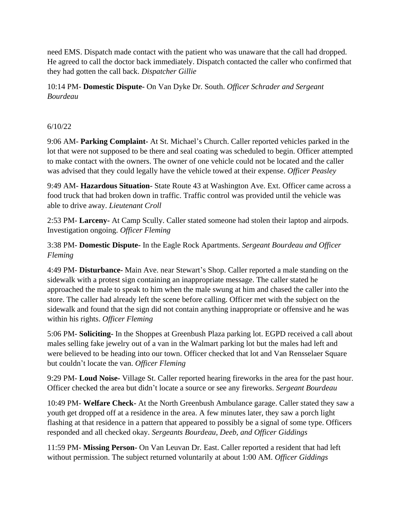need EMS. Dispatch made contact with the patient who was unaware that the call had dropped. He agreed to call the doctor back immediately. Dispatch contacted the caller who confirmed that they had gotten the call back. *Dispatcher Gillie*

10:14 PM- **Domestic Dispute-** On Van Dyke Dr. South. *Officer Schrader and Sergeant Bourdeau*

## 6/10/22

9:06 AM- **Parking Complaint-** At St. Michael's Church. Caller reported vehicles parked in the lot that were not supposed to be there and seal coating was scheduled to begin. Officer attempted to make contact with the owners. The owner of one vehicle could not be located and the caller was advised that they could legally have the vehicle towed at their expense. *Officer Peasley*

9:49 AM- **Hazardous Situation-** State Route 43 at Washington Ave. Ext. Officer came across a food truck that had broken down in traffic. Traffic control was provided until the vehicle was able to drive away. *Lieutenant Croll*

2:53 PM- **Larceny-** At Camp Scully. Caller stated someone had stolen their laptop and airpods. Investigation ongoing. *Officer Fleming*

3:38 PM- **Domestic Dispute-** In the Eagle Rock Apartments. *Sergeant Bourdeau and Officer Fleming*

4:49 PM- **Disturbance-** Main Ave. near Stewart's Shop. Caller reported a male standing on the sidewalk with a protest sign containing an inappropriate message. The caller stated he approached the male to speak to him when the male swung at him and chased the caller into the store. The caller had already left the scene before calling. Officer met with the subject on the sidewalk and found that the sign did not contain anything inappropriate or offensive and he was within his rights. *Officer Fleming*

5:06 PM- **Soliciting-** In the Shoppes at Greenbush Plaza parking lot. EGPD received a call about males selling fake jewelry out of a van in the Walmart parking lot but the males had left and were believed to be heading into our town. Officer checked that lot and Van Rensselaer Square but couldn't locate the van. *Officer Fleming*

9:29 PM- **Loud Noise-** Village St. Caller reported hearing fireworks in the area for the past hour. Officer checked the area but didn't locate a source or see any fireworks. *Sergeant Bourdeau*

10:49 PM- **Welfare Check-** At the North Greenbush Ambulance garage. Caller stated they saw a youth get dropped off at a residence in the area. A few minutes later, they saw a porch light flashing at that residence in a pattern that appeared to possibly be a signal of some type. Officers responded and all checked okay. *Sergeants Bourdeau, Deeb, and Officer Giddings*

11:59 PM- **Missing Person-** On Van Leuvan Dr. East. Caller reported a resident that had left without permission. The subject returned voluntarily at about 1:00 AM. *Officer Giddings*